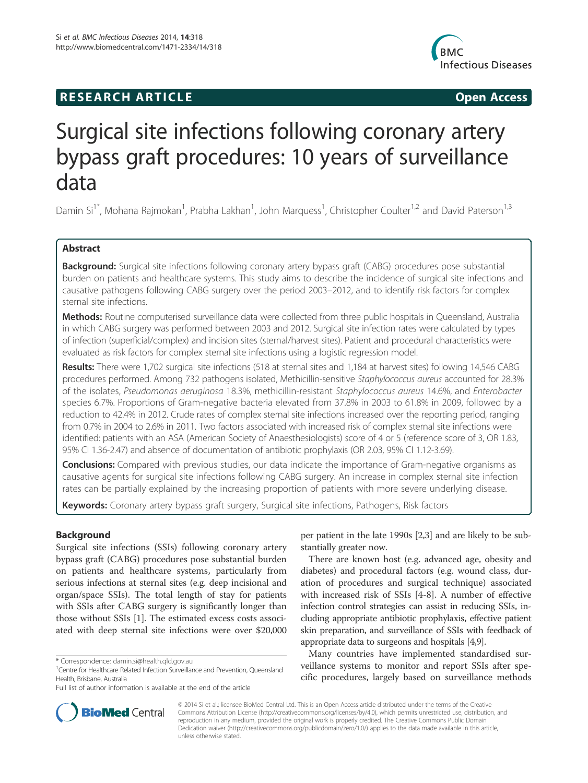# **RESEARCH ARTICLE Example 2014 CONSIDERING CONSIDERING CONSIDERING CONSIDERING CONSIDERING CONSIDERING CONSIDERING CONSIDERING CONSIDERING CONSIDERING CONSIDERING CONSIDERING CONSIDERING CONSIDERING CONSIDERING CONSIDE**



# Surgical site infections following coronary artery bypass graft procedures: 10 years of surveillance data

Damin Si<sup>1\*</sup>, Mohana Rajmokan<sup>1</sup>, Prabha Lakhan<sup>1</sup>, John Marquess<sup>1</sup>, Christopher Coulter<sup>1,2</sup> and David Paterson<sup>1,3</sup>

# Abstract

Background: Surgical site infections following coronary artery bypass graft (CABG) procedures pose substantial burden on patients and healthcare systems. This study aims to describe the incidence of surgical site infections and causative pathogens following CABG surgery over the period 2003–2012, and to identify risk factors for complex sternal site infections.

Methods: Routine computerised surveillance data were collected from three public hospitals in Queensland, Australia in which CABG surgery was performed between 2003 and 2012. Surgical site infection rates were calculated by types of infection (superficial/complex) and incision sites (sternal/harvest sites). Patient and procedural characteristics were evaluated as risk factors for complex sternal site infections using a logistic regression model.

Results: There were 1,702 surgical site infections (518 at sternal sites and 1,184 at harvest sites) following 14,546 CABG procedures performed. Among 732 pathogens isolated, Methicillin-sensitive Staphylococcus aureus accounted for 28.3% of the isolates, Pseudomonas aeruginosa 18.3%, methicillin-resistant Staphylococcus aureus 14.6%, and Enterobacter species 6.7%. Proportions of Gram-negative bacteria elevated from 37.8% in 2003 to 61.8% in 2009, followed by a reduction to 42.4% in 2012. Crude rates of complex sternal site infections increased over the reporting period, ranging from 0.7% in 2004 to 2.6% in 2011. Two factors associated with increased risk of complex sternal site infections were identified: patients with an ASA (American Society of Anaesthesiologists) score of 4 or 5 (reference score of 3, OR 1.83, 95% CI 1.36-2.47) and absence of documentation of antibiotic prophylaxis (OR 2.03, 95% CI 1.12-3.69).

**Conclusions:** Compared with previous studies, our data indicate the importance of Gram-negative organisms as causative agents for surgical site infections following CABG surgery. An increase in complex sternal site infection rates can be partially explained by the increasing proportion of patients with more severe underlying disease.

Keywords: Coronary artery bypass graft surgery, Surgical site infections, Pathogens, Risk factors

# **Background**

Surgical site infections (SSIs) following coronary artery bypass graft (CABG) procedures pose substantial burden on patients and healthcare systems, particularly from serious infections at sternal sites (e.g. deep incisional and organ/space SSIs). The total length of stay for patients with SSIs after CABG surgery is significantly longer than those without SSIs [1]. The estimated excess costs associated with deep sternal site infections were over \$20,000

per patient in the late 1990s [2,3] and are likely to be substantially greater now.

There are known host (e.g. advanced age, obesity and diabetes) and procedural factors (e.g. wound class, duration of procedures and surgical technique) associated with increased risk of SSIs [4-8]. A number of effective infection control strategies can assist in reducing SSIs, including appropriate antibiotic prophylaxis, effective patient skin preparation, and surveillance of SSIs with feedback of appropriate data to surgeons and hospitals [4,9].

Many countries have implemented standardised surveillance systems to monitor and report SSIs after specific procedures, largely based on surveillance methods



© 2014 Si et al.; licensee BioMed Central Ltd. This is an Open Access article distributed under the terms of the Creative Commons Attribution License (http://creativecommons.org/licenses/by/4.0), which permits unrestricted use, distribution, and reproduction in any medium, provided the original work is properly credited. The Creative Commons Public Domain Dedication waiver (http://creativecommons.org/publicdomain/zero/1.0/) applies to the data made available in this article, unless otherwise stated.

<sup>\*</sup> Correspondence: damin.si@health.qld.gov.au <sup>1</sup>

<sup>&</sup>lt;sup>1</sup> Centre for Healthcare Related Infection Surveillance and Prevention, Queensland Health, Brisbane, Australia

Full list of author information is available at the end of the article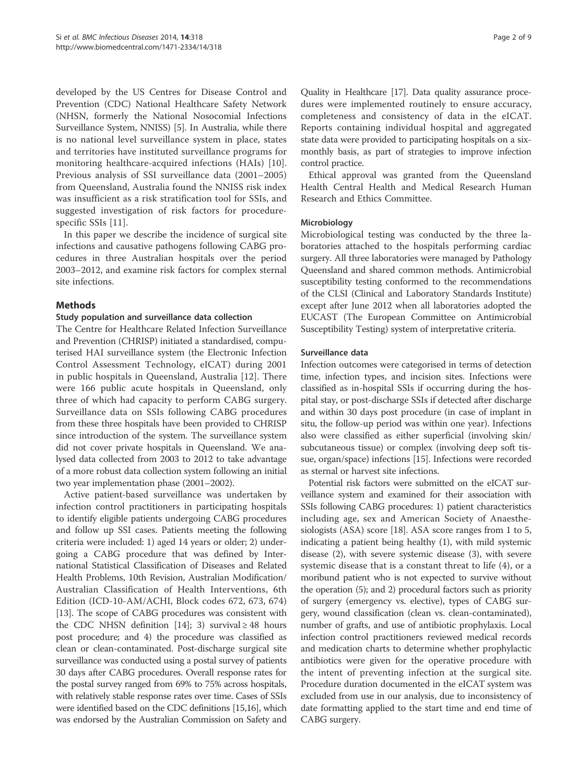developed by the US Centres for Disease Control and Prevention (CDC) National Healthcare Safety Network (NHSN, formerly the National Nosocomial Infections Surveillance System, NNISS) [5]. In Australia, while there is no national level surveillance system in place, states and territories have instituted surveillance programs for monitoring healthcare-acquired infections (HAIs) [10]. Previous analysis of SSI surveillance data (2001–2005) from Queensland, Australia found the NNISS risk index was insufficient as a risk stratification tool for SSIs, and suggested investigation of risk factors for procedurespecific SSIs [11].

In this paper we describe the incidence of surgical site infections and causative pathogens following CABG procedures in three Australian hospitals over the period 2003–2012, and examine risk factors for complex sternal site infections.

# Methods

# Study population and surveillance data collection

The Centre for Healthcare Related Infection Surveillance and Prevention (CHRISP) initiated a standardised, computerised HAI surveillance system (the Electronic Infection Control Assessment Technology, eICAT) during 2001 in public hospitals in Queensland, Australia [12]. There were 166 public acute hospitals in Queensland, only three of which had capacity to perform CABG surgery. Surveillance data on SSIs following CABG procedures from these three hospitals have been provided to CHRISP since introduction of the system. The surveillance system did not cover private hospitals in Queensland. We analysed data collected from 2003 to 2012 to take advantage of a more robust data collection system following an initial two year implementation phase (2001–2002).

Active patient-based surveillance was undertaken by infection control practitioners in participating hospitals to identify eligible patients undergoing CABG procedures and follow up SSI cases. Patients meeting the following criteria were included: 1) aged 14 years or older; 2) undergoing a CABG procedure that was defined by International Statistical Classification of Diseases and Related Health Problems, 10th Revision, Australian Modification/ Australian Classification of Health Interventions, 6th Edition (ICD-10-AM/ACHI, Block codes 672, 673, 674) [13]. The scope of CABG procedures was consistent with the CDC NHSN definition [14]; 3) survival  $\geq$  48 hours post procedure; and 4) the procedure was classified as clean or clean-contaminated. Post-discharge surgical site surveillance was conducted using a postal survey of patients 30 days after CABG procedures. Overall response rates for the postal survey ranged from 69% to 75% across hospitals, with relatively stable response rates over time. Cases of SSIs were identified based on the CDC definitions [15,16], which was endorsed by the Australian Commission on Safety and Quality in Healthcare [17]. Data quality assurance procedures were implemented routinely to ensure accuracy, completeness and consistency of data in the eICAT. Reports containing individual hospital and aggregated state data were provided to participating hospitals on a sixmonthly basis, as part of strategies to improve infection control practice.

Ethical approval was granted from the Queensland Health Central Health and Medical Research Human Research and Ethics Committee.

# Microbiology

Microbiological testing was conducted by the three laboratories attached to the hospitals performing cardiac surgery. All three laboratories were managed by Pathology Queensland and shared common methods. Antimicrobial susceptibility testing conformed to the recommendations of the CLSI (Clinical and Laboratory Standards Institute) except after June 2012 when all laboratories adopted the EUCAST (The European Committee on Antimicrobial Susceptibility Testing) system of interpretative criteria.

# Surveillance data

Infection outcomes were categorised in terms of detection time, infection types, and incision sites. Infections were classified as in-hospital SSIs if occurring during the hospital stay, or post-discharge SSIs if detected after discharge and within 30 days post procedure (in case of implant in situ, the follow-up period was within one year). Infections also were classified as either superficial (involving skin/ subcutaneous tissue) or complex (involving deep soft tissue, organ/space) infections [15]. Infections were recorded as sternal or harvest site infections.

Potential risk factors were submitted on the eICAT surveillance system and examined for their association with SSIs following CABG procedures: 1) patient characteristics including age, sex and American Society of Anaesthesiologists (ASA) score [18]. ASA score ranges from 1 to 5, indicating a patient being healthy (1), with mild systemic disease (2), with severe systemic disease (3), with severe systemic disease that is a constant threat to life (4), or a moribund patient who is not expected to survive without the operation (5); and 2) procedural factors such as priority of surgery (emergency vs. elective), types of CABG surgery, wound classification (clean vs. clean-contaminated), number of grafts, and use of antibiotic prophylaxis. Local infection control practitioners reviewed medical records and medication charts to determine whether prophylactic antibiotics were given for the operative procedure with the intent of preventing infection at the surgical site. Procedure duration documented in the eICAT system was excluded from use in our analysis, due to inconsistency of date formatting applied to the start time and end time of CABG surgery.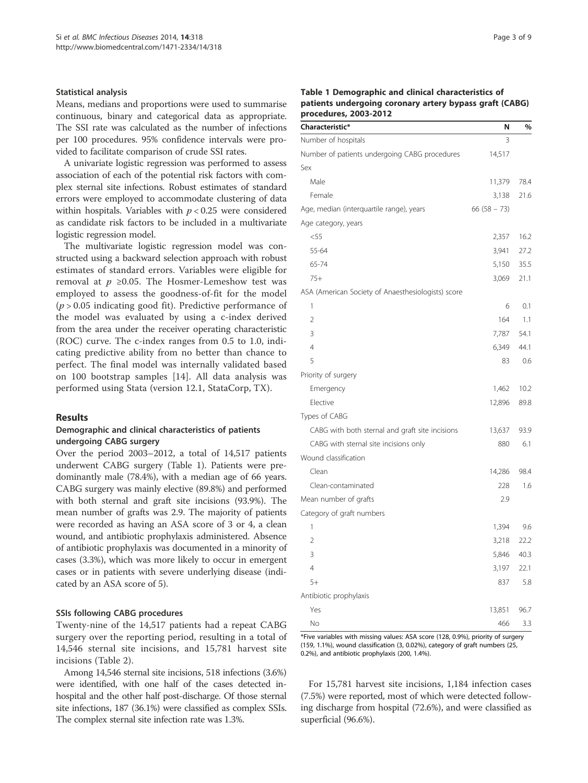#### Statistical analysis

Means, medians and proportions were used to summarise continuous, binary and categorical data as appropriate. The SSI rate was calculated as the number of infections per 100 procedures. 95% confidence intervals were provided to facilitate comparison of crude SSI rates.

A univariate logistic regression was performed to assess association of each of the potential risk factors with complex sternal site infections. Robust estimates of standard errors were employed to accommodate clustering of data within hospitals. Variables with  $p < 0.25$  were considered as candidate risk factors to be included in a multivariate logistic regression model.

The multivariate logistic regression model was constructed using a backward selection approach with robust estimates of standard errors. Variables were eligible for removal at  $p \ge 0.05$ . The Hosmer-Lemeshow test was employed to assess the goodness-of-fit for the model  $(p > 0.05$  indicating good fit). Predictive performance of the model was evaluated by using a c-index derived from the area under the receiver operating characteristic (ROC) curve. The c-index ranges from 0.5 to 1.0, indicating predictive ability from no better than chance to perfect. The final model was internally validated based on 100 bootstrap samples [14]. All data analysis was performed using Stata (version 12.1, StataCorp, TX).

#### Results

# Demographic and clinical characteristics of patients undergoing CABG surgery

Over the period 2003–2012, a total of 14,517 patients underwent CABG surgery (Table 1). Patients were predominantly male (78.4%), with a median age of 66 years. CABG surgery was mainly elective (89.8%) and performed with both sternal and graft site incisions (93.9%). The mean number of grafts was 2.9. The majority of patients were recorded as having an ASA score of 3 or 4, a clean wound, and antibiotic prophylaxis administered. Absence of antibiotic prophylaxis was documented in a minority of cases (3.3%), which was more likely to occur in emergent cases or in patients with severe underlying disease (indicated by an ASA score of 5).

#### SSIs following CABG procedures

Twenty-nine of the 14,517 patients had a repeat CABG surgery over the reporting period, resulting in a total of 14,546 sternal site incisions, and 15,781 harvest site incisions (Table 2).

Among 14,546 sternal site incisions, 518 infections (3.6%) were identified, with one half of the cases detected inhospital and the other half post-discharge. Of those sternal site infections, 187 (36.1%) were classified as complex SSIs. The complex sternal site infection rate was 1.3%.

# Table 1 Demographic and clinical characteristics of patients undergoing coronary artery bypass graft (CABG) procedures, 2003-2012

| Characteristic*                                    | N             | %    |
|----------------------------------------------------|---------------|------|
| Number of hospitals                                | 3             |      |
| Number of patients undergoing CABG procedures      | 14,517        |      |
| Sex                                                |               |      |
| Male                                               | 11,379        | 78.4 |
| Female                                             | 3,138         | 21.6 |
| Age, median (interquartile range), years           | $66(58 - 73)$ |      |
| Age category, years                                |               |      |
| $<$ 55                                             | 2,357         | 16.2 |
| 55-64                                              | 3,941         | 27.2 |
| 65-74                                              | 5,150         | 35.5 |
| $75+$                                              | 3,069         | 21.1 |
| ASA (American Society of Anaesthesiologists) score |               |      |
| 1                                                  | 6             | 0.1  |
| $\overline{2}$                                     | 164           | 1.1  |
| 3                                                  | 7,787         | 54.1 |
| 4                                                  | 6,349         | 44.1 |
| 5                                                  | 83            | 0.6  |
| Priority of surgery                                |               |      |
| Emergency                                          | 1,462         | 10.2 |
| Elective                                           | 12,896        | 89.8 |
| Types of CABG                                      |               |      |
| CABG with both sternal and graft site incisions    | 13,637        | 93.9 |
| CABG with sternal site incisions only              | 880           | 6.1  |
| Wound classification                               |               |      |
| Clean                                              | 14,286        | 98.4 |
| Clean-contaminated                                 | 228           | 1.6  |
| Mean number of grafts                              | 2.9           |      |
| Category of graft numbers                          |               |      |
| 1                                                  | 1,394         | 9.6  |
| $\overline{2}$                                     | 3,218         | 22.2 |
| 3                                                  | 5,846         | 40.3 |
| 4                                                  | 3,197         | 22.1 |
| $5+$                                               | 837           | 5.8  |
| Antibiotic prophylaxis                             |               |      |
| Yes                                                | 13,851        | 96.7 |
| No                                                 | 466           | 3.3  |

\*Five variables with missing values: ASA score (128, 0.9%), priority of surgery (159, 1.1%), wound classification (3, 0.02%), category of graft numbers (25, 0.2%), and antibiotic prophylaxis (200, 1.4%).

For 15,781 harvest site incisions, 1,184 infection cases (7.5%) were reported, most of which were detected following discharge from hospital (72.6%), and were classified as superficial (96.6%).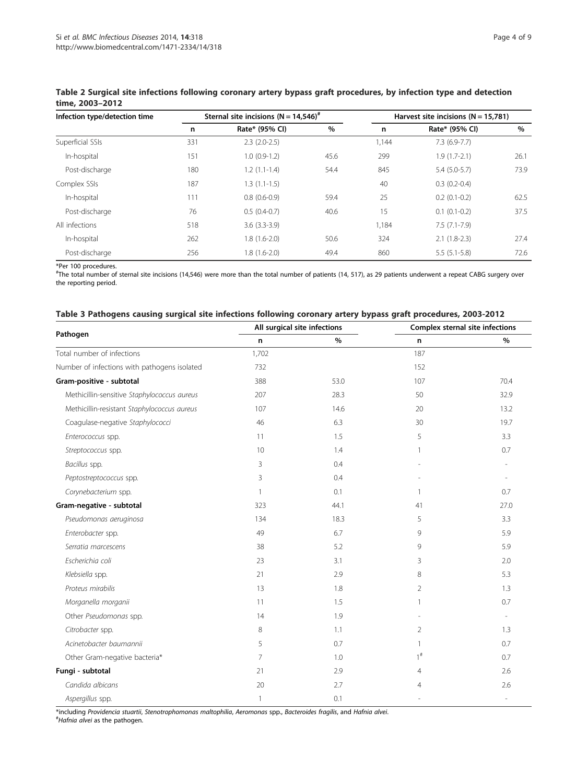| Infection type/detection time | Sternal site incisions ( $N = 14,546$ ) <sup>#</sup> |                |      | Harvest site incisions ( $N = 15,781$ ) |                |      |
|-------------------------------|------------------------------------------------------|----------------|------|-----------------------------------------|----------------|------|
|                               | n                                                    | Rate* (95% CI) | $\%$ | n                                       | Rate* (95% CI) | $\%$ |
| Superficial SSIs              | 331                                                  | $2.3(2.0-2.5)$ |      | 1,144                                   | $7.3(6.9-7.7)$ |      |
| In-hospital                   | 151                                                  | $1.0(0.9-1.2)$ | 45.6 | 299                                     | $1.9(1.7-2.1)$ | 26.1 |
| Post-discharge                | 180                                                  | $1.2(1.1-1.4)$ | 54.4 | 845                                     | $5.4(5.0-5.7)$ | 73.9 |
| Complex SSIs                  | 187                                                  | $1.3(1.1-1.5)$ |      | 40                                      | $0.3(0.2-0.4)$ |      |
| In-hospital                   | 111                                                  | $0.8(0.6-0.9)$ | 59.4 | 25                                      | $0.2(0.1-0.2)$ | 62.5 |
| Post-discharge                | 76                                                   | $0.5(0.4-0.7)$ | 40.6 | 15                                      | $0.1(0.1-0.2)$ | 37.5 |
| All infections                | 518                                                  | $3.6(3.3-3.9)$ |      | 1,184                                   | $7.5(7.1-7.9)$ |      |
| In-hospital                   | 262                                                  | $1.8(1.6-2.0)$ | 50.6 | 324                                     | $2.1(1.8-2.3)$ | 27.4 |
| Post-discharge                | 256                                                  | $1.8(1.6-2.0)$ | 49.4 | 860                                     | $5.5(5.1-5.8)$ | 72.6 |

Table 2 Surgical site infections following coronary artery bypass graft procedures, by infection type and detection time, 2003–2012

\*Per 100 procedures.<br>#The total number of sternal site incisions (14,546) were more than the total number of patients (14, 517), as 29 patients underwent a repeat CABG surgery over the reporting period.

|  |  | Table 3 Pathogens causing surgical site infections following coronary artery bypass graft procedures, 2003-2012 |
|--|--|-----------------------------------------------------------------------------------------------------------------|
|--|--|-----------------------------------------------------------------------------------------------------------------|

|                                              | All surgical site infections |      | Complex sternal site infections |      |  |
|----------------------------------------------|------------------------------|------|---------------------------------|------|--|
| Pathogen                                     | n                            | $\%$ | n                               | $\%$ |  |
| Total number of infections                   | 1,702                        |      | 187                             |      |  |
| Number of infections with pathogens isolated | 732                          |      | 152                             |      |  |
| Gram-positive - subtotal                     | 388                          | 53.0 | 107                             | 70.4 |  |
| Methicillin-sensitive Staphylococcus aureus  | 207                          | 28.3 | 50                              | 32.9 |  |
| Methicillin-resistant Staphylococcus aureus  | 107                          | 14.6 | 20                              | 13.2 |  |
| Coagulase-negative Staphylococci             | 46                           | 6.3  | 30                              | 19.7 |  |
| Enterococcus spp.                            | 11                           | 1.5  | 5                               | 3.3  |  |
| Streptococcus spp.                           | 10                           | 1.4  | $\mathbf{1}$                    | 0.7  |  |
| Bacillus spp.                                | 3                            | 0.4  |                                 |      |  |
| Peptostreptococcus spp.                      | 3                            | 0.4  |                                 |      |  |
| Corynebacterium spp.                         | $\mathbf{1}$                 | 0.1  | $\mathbf{1}$                    | 0.7  |  |
| Gram-negative - subtotal                     | 323                          | 44.1 | 41                              | 27.0 |  |
| Pseudomonas aeruginosa                       | 134                          | 18.3 | 5                               | 3.3  |  |
| Enterobacter spp.                            | 49                           | 6.7  | 9                               | 5.9  |  |
| Serratia marcescens                          | 38                           | 5.2  | 9                               | 5.9  |  |
| Escherichia coli                             | 23                           | 3.1  | 3                               | 2.0  |  |
| Klebsiella spp.                              | 21                           | 2.9  | 8                               | 5.3  |  |
| Proteus mirabilis                            | 13                           | 1.8  | 2                               | 1.3  |  |
| Morganella morganii                          | 11                           | 1.5  | 1                               | 0.7  |  |
| Other Pseudomonas spp.                       | 14                           | 1.9  |                                 | i,   |  |
| Citrobacter spp.                             | 8                            | 1.1  | $\overline{2}$                  | 1.3  |  |
| Acinetobacter baumannii                      | 5                            | 0.7  | $\mathbf{1}$                    | 0.7  |  |
| Other Gram-negative bacteria*                | $\overline{7}$               | 1.0  | $1^{\#}$                        | 0.7  |  |
| Fungi - subtotal                             | 21                           | 2.9  | $\overline{4}$                  | 2.6  |  |
| Candida albicans                             | 20                           | 2.7  | 4                               | 2.6  |  |
| Aspergillus spp.                             | $\mathbf{1}$                 | 0.1  |                                 | ÷,   |  |

\*including Providencia stuartii, Stenotrophomonas maltophilia, Aeromonas spp., Bacteroides fragilis, and Hafnia alvei. #

Hafnia alvei as the pathogen.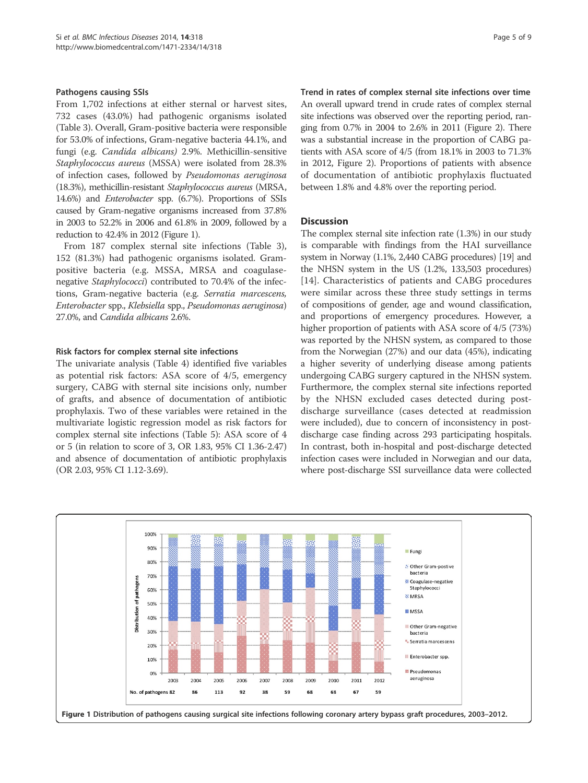#### Pathogens causing SSIs

From 1,702 infections at either sternal or harvest sites, 732 cases (43.0%) had pathogenic organisms isolated (Table 3). Overall, Gram-positive bacteria were responsible for 53.0% of infections, Gram-negative bacteria 44.1%, and fungi (e.g. Candida albicans) 2.9%. Methicillin-sensitive Staphylococcus aureus (MSSA) were isolated from 28.3% of infection cases, followed by Pseudomonas aeruginosa (18.3%), methicillin-resistant Staphylococcus aureus (MRSA, 14.6%) and Enterobacter spp. (6.7%). Proportions of SSIs caused by Gram-negative organisms increased from 37.8% in 2003 to 52.2% in 2006 and 61.8% in 2009, followed by a reduction to 42.4% in 2012 (Figure 1).

From 187 complex sternal site infections (Table 3), 152 (81.3%) had pathogenic organisms isolated. Grampositive bacteria (e.g. MSSA, MRSA and coagulasenegative Staphylococci) contributed to 70.4% of the infections, Gram-negative bacteria (e.g. Serratia marcescens, Enterobacter spp., Klebsiella spp., Pseudomonas aeruginosa) 27.0%, and Candida albicans 2.6%.

#### Risk factors for complex sternal site infections

The univariate analysis (Table 4) identified five variables as potential risk factors: ASA score of 4/5, emergency surgery, CABG with sternal site incisions only, number of grafts, and absence of documentation of antibiotic prophylaxis. Two of these variables were retained in the multivariate logistic regression model as risk factors for complex sternal site infections (Table 5): ASA score of 4 or 5 (in relation to score of 3, OR 1.83, 95% CI 1.36-2.47) and absence of documentation of antibiotic prophylaxis (OR 2.03, 95% CI 1.12-3.69).

Trend in rates of complex sternal site infections over time An overall upward trend in crude rates of complex sternal site infections was observed over the reporting period, ranging from 0.7% in 2004 to 2.6% in 2011 (Figure 2). There was a substantial increase in the proportion of CABG patients with ASA score of 4/5 (from 18.1% in 2003 to 71.3% in 2012, Figure 2). Proportions of patients with absence of documentation of antibiotic prophylaxis fluctuated between 1.8% and 4.8% over the reporting period.

#### **Discussion**

The complex sternal site infection rate (1.3%) in our study is comparable with findings from the HAI surveillance system in Norway (1.1%, 2,440 CABG procedures) [19] and the NHSN system in the US (1.2%, 133,503 procedures) [14]. Characteristics of patients and CABG procedures were similar across these three study settings in terms of compositions of gender, age and wound classification, and proportions of emergency procedures. However, a higher proportion of patients with ASA score of 4/5 (73%) was reported by the NHSN system, as compared to those from the Norwegian (27%) and our data (45%), indicating a higher severity of underlying disease among patients undergoing CABG surgery captured in the NHSN system. Furthermore, the complex sternal site infections reported by the NHSN excluded cases detected during postdischarge surveillance (cases detected at readmission were included), due to concern of inconsistency in postdischarge case finding across 293 participating hospitals. In contrast, both in-hospital and post-discharge detected infection cases were included in Norwegian and our data, where post-discharge SSI surveillance data were collected

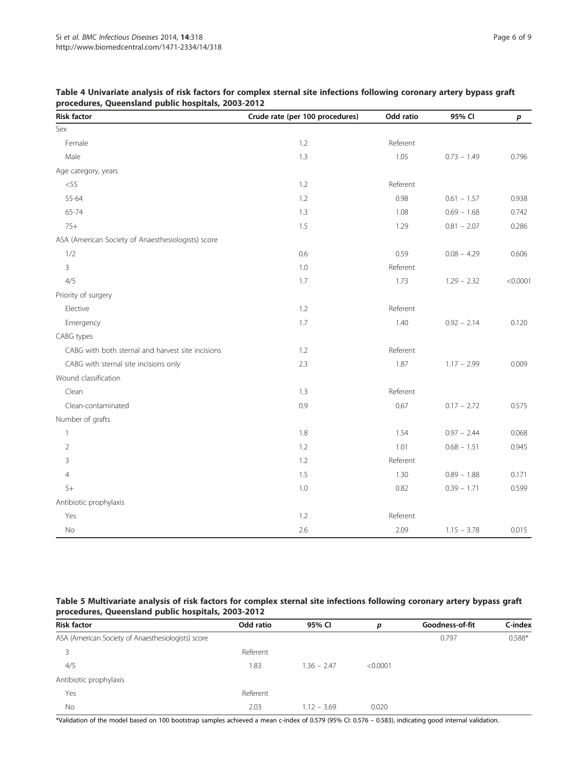| <b>Risk factor</b>                                 | Crude rate (per 100 procedures) | Odd ratio | 95% CI        | $\boldsymbol{p}$ |
|----------------------------------------------------|---------------------------------|-----------|---------------|------------------|
| Sex                                                |                                 |           |               |                  |
| Female                                             | 1.2                             | Referent  |               |                  |
| Male                                               | 1.3                             | 1.05      | $0.73 - 1.49$ | 0.796            |
| Age category, years                                |                                 |           |               |                  |
| $<$ 55                                             | 1.2                             | Referent  |               |                  |
| 55-64                                              | 1.2                             | 0.98      | $0.61 - 1.57$ | 0.938            |
| 65-74                                              | 1.3                             | 1.08      | $0.69 - 1.68$ | 0.742            |
| $75+$                                              | 1.5                             | 1.29      | $0.81 - 2.07$ | 0.286            |
| ASA (American Society of Anaesthesiologists) score |                                 |           |               |                  |
| 1/2                                                | 0.6                             | 0.59      | $0.08 - 4.29$ | 0.606            |
| 3                                                  | 1.0                             | Referent  |               |                  |
| 4/5                                                | 1.7                             | 1.73      | $1.29 - 2.32$ | < 0.0001         |
| Priority of surgery                                |                                 |           |               |                  |
| Elective                                           | 1.2                             | Referent  |               |                  |
| Emergency                                          | 1.7                             | 1.40      | $0.92 - 2.14$ | 0.120            |
| CABG types                                         |                                 |           |               |                  |
| CABG with both sternal and harvest site incisions  | 1.2                             | Referent  |               |                  |
| CABG with sternal site incisions only              | 2.3                             | 1.87      | $1.17 - 2.99$ | 0.009            |
| Wound classification                               |                                 |           |               |                  |
| Clean                                              | 1.3                             | Referent  |               |                  |
| Clean-contaminated                                 | 0.9                             | 0.67      | $0.17 - 2.72$ | 0.575            |
| Number of grafts                                   |                                 |           |               |                  |
| $\mathbf{1}$                                       | 1.8                             | 1.54      | $0.97 - 2.44$ | 0.068            |
| $\overline{2}$                                     | 1.2                             | 1.01      | $0.68 - 1.51$ | 0.945            |
| 3                                                  | 1.2                             | Referent  |               |                  |
| $\overline{4}$                                     | 1.5                             | 1.30      | $0.89 - 1.88$ | 0.171            |
| $5+$                                               | 1.0                             | 0.82      | $0.39 - 1.71$ | 0.599            |
| Antibiotic prophylaxis                             |                                 |           |               |                  |
| Yes                                                | 1.2                             | Referent  |               |                  |
| <b>No</b>                                          | 2.6                             | 2.09      | $1.15 - 3.78$ | 0.015            |

# Table 4 Univariate analysis of risk factors for complex sternal site infections following coronary artery bypass graft procedures, Queensland public hospitals, 2003-2012

# Table 5 Multivariate analysis of risk factors for complex sternal site infections following coronary artery bypass graft procedures, Queensland public hospitals, 2003-2012

| <b>Risk factor</b>                                 | Odd ratio | 95% CI        | р        | Goodness-of-fit | C-index  |
|----------------------------------------------------|-----------|---------------|----------|-----------------|----------|
| ASA (American Society of Anaesthesiologists) score |           |               |          | 0.797           | $0.588*$ |
| ₹                                                  | Referent  |               |          |                 |          |
| 4/5                                                | 1.83      | $1.36 - 2.47$ | < 0.0001 |                 |          |
| Antibiotic prophylaxis                             |           |               |          |                 |          |
| Yes                                                | Referent  |               |          |                 |          |
| No.                                                | 2.03      | $1.12 - 3.69$ | 0.020    |                 |          |

\*Validation of the model based on 100 bootstrap samples achieved a mean c-index of 0.579 (95% CI: 0.576 – 0.583), indicating good internal validation.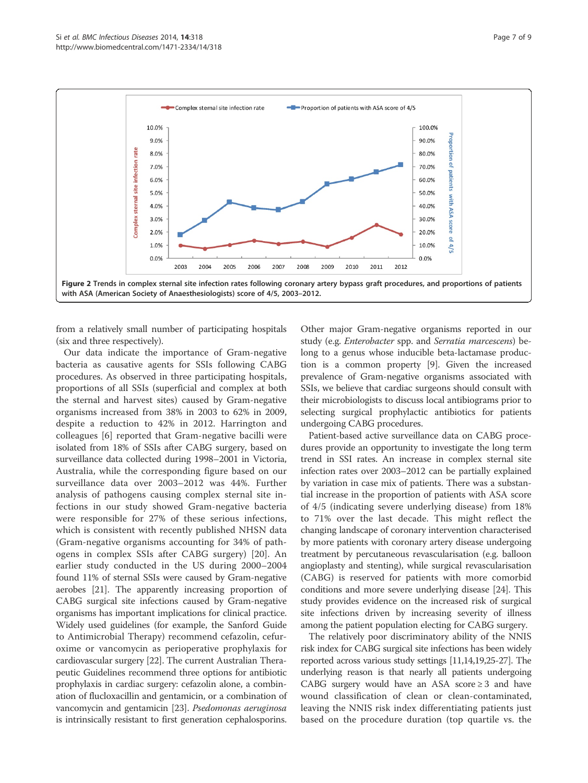

from a relatively small number of participating hospitals (six and three respectively).

Our data indicate the importance of Gram-negative bacteria as causative agents for SSIs following CABG procedures. As observed in three participating hospitals, proportions of all SSIs (superficial and complex at both the sternal and harvest sites) caused by Gram-negative organisms increased from 38% in 2003 to 62% in 2009, despite a reduction to 42% in 2012. Harrington and colleagues [6] reported that Gram-negative bacilli were isolated from 18% of SSIs after CABG surgery, based on surveillance data collected during 1998–2001 in Victoria, Australia, while the corresponding figure based on our surveillance data over 2003–2012 was 44%. Further analysis of pathogens causing complex sternal site infections in our study showed Gram-negative bacteria were responsible for 27% of these serious infections, which is consistent with recently published NHSN data (Gram-negative organisms accounting for 34% of pathogens in complex SSIs after CABG surgery) [20]. An earlier study conducted in the US during 2000–2004 found 11% of sternal SSIs were caused by Gram-negative aerobes [21]. The apparently increasing proportion of CABG surgical site infections caused by Gram-negative organisms has important implications for clinical practice. Widely used guidelines (for example, the Sanford Guide to Antimicrobial Therapy) recommend cefazolin, cefuroxime or vancomycin as perioperative prophylaxis for cardiovascular surgery [22]. The current Australian Therapeutic Guidelines recommend three options for antibiotic prophylaxis in cardiac surgery: cefazolin alone, a combination of flucloxacillin and gentamicin, or a combination of vancomycin and gentamicin [23]. Psedomonas aeruginosa is intrinsically resistant to first generation cephalosporins.

Other major Gram-negative organisms reported in our study (e.g. Enterobacter spp. and Serratia marcescens) belong to a genus whose inducible beta-lactamase production is a common property [9]. Given the increased prevalence of Gram-negative organisms associated with SSIs, we believe that cardiac surgeons should consult with their microbiologists to discuss local antibiograms prior to selecting surgical prophylactic antibiotics for patients undergoing CABG procedures.

Patient-based active surveillance data on CABG procedures provide an opportunity to investigate the long term trend in SSI rates. An increase in complex sternal site infection rates over 2003–2012 can be partially explained by variation in case mix of patients. There was a substantial increase in the proportion of patients with ASA score of 4/5 (indicating severe underlying disease) from 18% to 71% over the last decade. This might reflect the changing landscape of coronary intervention characterised by more patients with coronary artery disease undergoing treatment by percutaneous revascularisation (e.g. balloon angioplasty and stenting), while surgical revascularisation (CABG) is reserved for patients with more comorbid conditions and more severe underlying disease [24]. This study provides evidence on the increased risk of surgical site infections driven by increasing severity of illness among the patient population electing for CABG surgery.

The relatively poor discriminatory ability of the NNIS risk index for CABG surgical site infections has been widely reported across various study settings [11,14,19,25-27]. The underlying reason is that nearly all patients undergoing CABG surgery would have an ASA score  $\geq$  3 and have wound classification of clean or clean-contaminated, leaving the NNIS risk index differentiating patients just based on the procedure duration (top quartile vs. the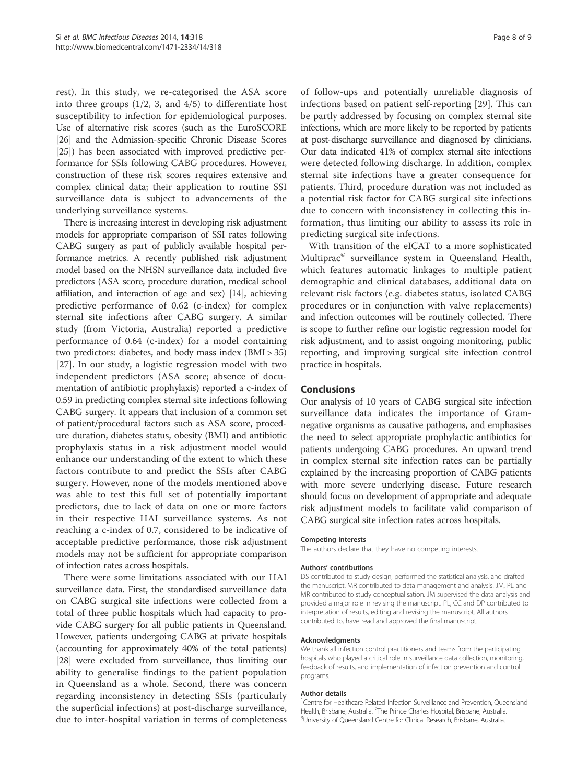rest). In this study, we re-categorised the ASA score into three groups (1/2, 3, and 4/5) to differentiate host susceptibility to infection for epidemiological purposes. Use of alternative risk scores (such as the EuroSCORE [26] and the Admission-specific Chronic Disease Scores [25]) has been associated with improved predictive performance for SSIs following CABG procedures. However, construction of these risk scores requires extensive and complex clinical data; their application to routine SSI surveillance data is subject to advancements of the underlying surveillance systems.

There is increasing interest in developing risk adjustment models for appropriate comparison of SSI rates following CABG surgery as part of publicly available hospital performance metrics. A recently published risk adjustment model based on the NHSN surveillance data included five predictors (ASA score, procedure duration, medical school affiliation, and interaction of age and sex) [14], achieving predictive performance of 0.62 (c-index) for complex sternal site infections after CABG surgery. A similar study (from Victoria, Australia) reported a predictive performance of 0.64 (c-index) for a model containing two predictors: diabetes, and body mass index (BMI > 35) [27]. In our study, a logistic regression model with two independent predictors (ASA score; absence of documentation of antibiotic prophylaxis) reported a c-index of 0.59 in predicting complex sternal site infections following CABG surgery. It appears that inclusion of a common set of patient/procedural factors such as ASA score, procedure duration, diabetes status, obesity (BMI) and antibiotic prophylaxis status in a risk adjustment model would enhance our understanding of the extent to which these factors contribute to and predict the SSIs after CABG surgery. However, none of the models mentioned above was able to test this full set of potentially important predictors, due to lack of data on one or more factors in their respective HAI surveillance systems. As not reaching a c-index of 0.7, considered to be indicative of acceptable predictive performance, those risk adjustment models may not be sufficient for appropriate comparison of infection rates across hospitals.

There were some limitations associated with our HAI surveillance data. First, the standardised surveillance data on CABG surgical site infections were collected from a total of three public hospitals which had capacity to provide CABG surgery for all public patients in Queensland. However, patients undergoing CABG at private hospitals (accounting for approximately 40% of the total patients) [28] were excluded from surveillance, thus limiting our ability to generalise findings to the patient population in Queensland as a whole. Second, there was concern regarding inconsistency in detecting SSIs (particularly the superficial infections) at post-discharge surveillance, due to inter-hospital variation in terms of completeness

of follow-ups and potentially unreliable diagnosis of infections based on patient self-reporting [29]. This can be partly addressed by focusing on complex sternal site infections, which are more likely to be reported by patients at post-discharge surveillance and diagnosed by clinicians. Our data indicated 41% of complex sternal site infections were detected following discharge. In addition, complex sternal site infections have a greater consequence for patients. Third, procedure duration was not included as a potential risk factor for CABG surgical site infections due to concern with inconsistency in collecting this information, thus limiting our ability to assess its role in predicting surgical site infections.

With transition of the eICAT to a more sophisticated Multiprac© surveillance system in Queensland Health, which features automatic linkages to multiple patient demographic and clinical databases, additional data on relevant risk factors (e.g. diabetes status, isolated CABG procedures or in conjunction with valve replacements) and infection outcomes will be routinely collected. There is scope to further refine our logistic regression model for risk adjustment, and to assist ongoing monitoring, public reporting, and improving surgical site infection control practice in hospitals.

### Conclusions

Our analysis of 10 years of CABG surgical site infection surveillance data indicates the importance of Gramnegative organisms as causative pathogens, and emphasises the need to select appropriate prophylactic antibiotics for patients undergoing CABG procedures. An upward trend in complex sternal site infection rates can be partially explained by the increasing proportion of CABG patients with more severe underlying disease. Future research should focus on development of appropriate and adequate risk adjustment models to facilitate valid comparison of CABG surgical site infection rates across hospitals.

#### Competing interests

The authors declare that they have no competing interests.

#### Authors' contributions

DS contributed to study design, performed the statistical analysis, and drafted the manuscript. MR contributed to data management and analysis. JM, PL and MR contributed to study conceptualisation. JM supervised the data analysis and provided a major role in revising the manuscript. PL, CC and DP contributed to interpretation of results, editing and revising the manuscript. All authors contributed to, have read and approved the final manuscript.

#### Acknowledgments

We thank all infection control practitioners and teams from the participating hospitals who played a critical role in surveillance data collection, monitoring, feedback of results, and implementation of infection prevention and control programs.

#### Author details

<sup>1</sup> Centre for Healthcare Related Infection Surveillance and Prevention, Queensland Health, Brisbane, Australia. <sup>2</sup>The Prince Charles Hospital, Brisbane, Australia.<br><sup>3</sup>Llokorrity of Quoopsland Contra for Clinical Basearch, Brisbane, Australia. <sup>3</sup>University of Queensland Centre for Clinical Research, Brisbane, Australia.